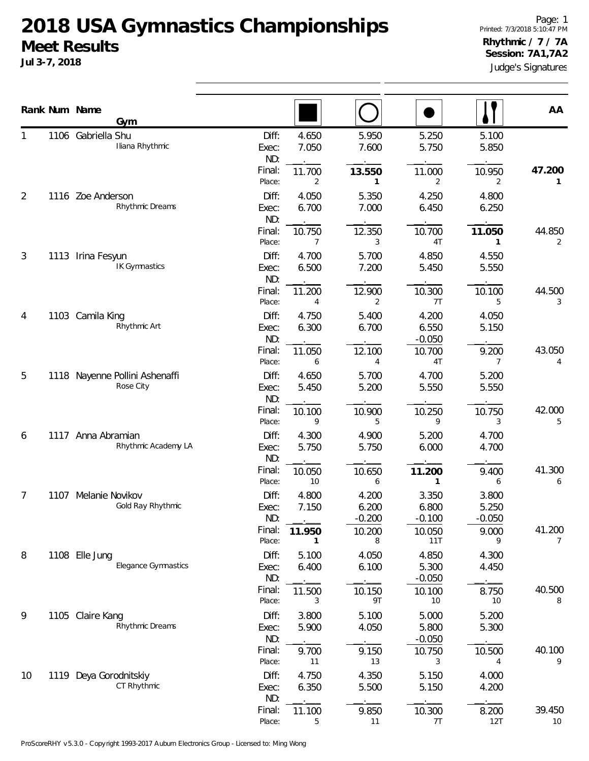|    |      | Rank Num Name<br>Gym                        |                                 |                          |                            |                                      |                            | AA                       |
|----|------|---------------------------------------------|---------------------------------|--------------------------|----------------------------|--------------------------------------|----------------------------|--------------------------|
|    |      | 1106 Gabriella Shu<br>Iliana Rhythmic       | Diff:<br>Exec:<br>ND:<br>Final: | 4.650<br>7.050<br>11.700 | 5.950<br>7.600<br>13.550   | 5.250<br>5.750<br>11.000             | 5.100<br>5.850<br>10.950   | 47.200                   |
| 2  |      | 1116 Zoe Anderson                           | Place:<br>Diff:                 | 2<br>4.050               | 1<br>5.350                 | 2<br>4.250                           | 2<br>4.800                 | 1                        |
|    |      | Rhythmic Dreams                             | Exec:<br>ND:<br>Final:          | 6.700                    | 7.000                      | 6.450                                | 6.250                      | 44.850                   |
| 3  | 1113 | Irina Fesyun                                | Place:<br>Diff:                 | 10.750<br>7<br>4.700     | 12.350<br>3<br>5.700       | 10.700<br>4T<br>4.850                | 11.050<br>1<br>4.550       | 2                        |
|    |      | <b>IK Gymnastics</b>                        | Exec:<br>ND:                    | 6.500                    | 7.200                      | 5.450                                | 5.550                      |                          |
|    |      |                                             | Final:<br>Place:                | 11.200<br>$\overline{4}$ | 12.900<br>2                | 10.300<br>7T                         | 10.100<br>5                | 44.500<br>3              |
| 4  |      | 1103 Camila King<br>Rhythmic Art            | Diff:<br>Exec:<br>ND:           | 4.750<br>6.300           | 5.400<br>6.700             | 4.200<br>6.550<br>$-0.050$           | 4.050<br>5.150             |                          |
|    |      |                                             | Final:<br>Place:                | 11.050<br>6              | 12.100<br>4                | 10.700<br>4T                         | 9.200<br>7                 | 43.050<br>4              |
| 5  |      | 1118 Nayenne Pollini Ashenaffi<br>Rose City | Diff:<br>Exec:<br>ND:           | 4.650<br>5.450           | 5.700<br>5.200             | 4.700<br>5.550                       | 5.200<br>5.550             |                          |
|    |      |                                             | Final:<br>Place:                | 10.100<br>9              | 10.900<br>5                | 10.250<br>9                          | 10.750<br>3                | 42.000<br>5              |
| 6  | 1117 | Anna Abramian<br>Rhythmic Academy LA        | Diff:<br>Exec:<br>ND:           | 4.300<br>5.750           | 4.900<br>5.750             | 5.200<br>6.000                       | 4.700<br>4.700             |                          |
|    |      |                                             | Final:<br>Place:                | 10.050<br>10             | 10.650<br>6                | 11.200<br>1                          | 9.400<br>6                 | 41.300<br>6              |
| 7  | 1107 | Melanie Novikov<br>Gold Ray Rhythmic        | Diff:<br>Exec:<br>ND:           | 4.800<br>7.150           | 4.200<br>6.200<br>$-0.200$ | 3.350<br>6.800<br>$-0.100$           | 3.800<br>5.250<br>$-0.050$ |                          |
|    |      |                                             | Final:<br>Place:                | 11.950<br>1              | 10.200<br>8                | 10.050<br>11T                        | 9.000<br>9                 | 41.200<br>$\overline{7}$ |
| 8  |      | 1108 Elle Jung<br>Elegance Gymnastics       | Diff:<br>Exec:<br>ND:           | 5.100<br>6.400           | 4.050<br>6.100             | 4.850<br>5.300<br>$-0.050$           | 4.300<br>4.450             |                          |
|    |      |                                             | Final:<br>Place:                | 11.500<br>3              | 10.150<br>9T               | 10.100<br>10                         | 8.750<br>10                | 40.500<br>8              |
| 9  |      | 1105 Claire Kang<br>Rhythmic Dreams         | Diff:<br>Exec:<br>ND:<br>Final: | 3.800<br>5.900<br>9.700  | 5.100<br>4.050<br>9.150    | 5.000<br>5.800<br>$-0.050$<br>10.750 | 5.200<br>5.300<br>10.500   | 40.100                   |
| 10 |      | 1119 Deya Gorodnitskiy                      | Place:<br>Diff:                 | 11<br>4.750              | 13<br>4.350                | 3<br>5.150                           | 4<br>4.000                 | 9                        |
|    |      | CT Rhythmic                                 | Exec:<br>ND:                    | 6.350                    | 5.500                      | 5.150                                | 4.200                      |                          |
|    |      |                                             | Final:<br>Place:                | 11.100<br>5              | 9.850<br>11                | 10.300<br>7T                         | 8.200<br>12T               | 39.450<br>10             |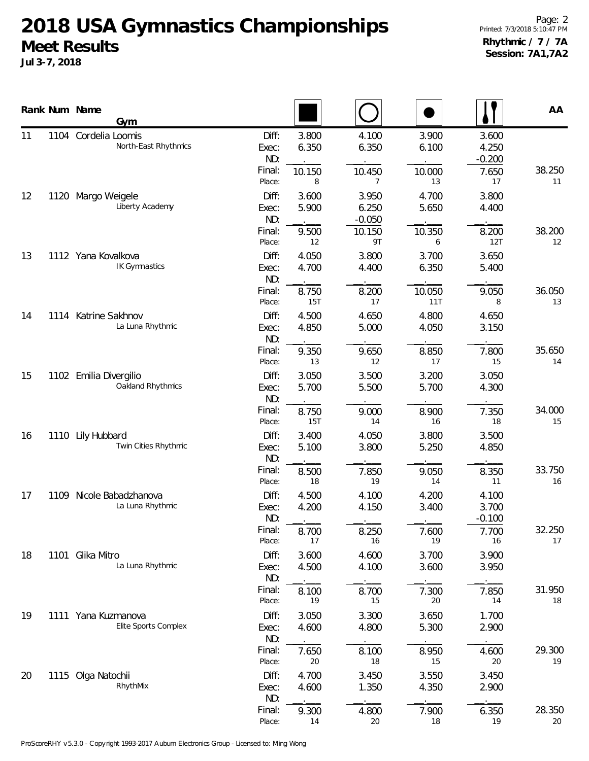|    |      | Rank Num Name<br>Gym                         |                                  |                          |                                  |                          |                                     | AA           |
|----|------|----------------------------------------------|----------------------------------|--------------------------|----------------------------------|--------------------------|-------------------------------------|--------------|
| 11 |      | 1104 Cordelia Loomis<br>North-East Rhythmics | Diff:<br>Exec:<br>ND:<br>Final:  | 3.800<br>6.350<br>10.150 | 4.100<br>6.350<br>10.450         | 3.900<br>6.100<br>10.000 | 3.600<br>4.250<br>$-0.200$<br>7.650 | 38.250       |
| 12 | 1120 | Margo Weigele<br>Liberty Academy             | Place:<br>Diff:<br>Exec:         | 8<br>3.600<br>5.900      | $\overline{7}$<br>3.950<br>6.250 | 13<br>4.700<br>5.650     | 17<br>3.800<br>4.400                | 11           |
|    |      |                                              | ND:<br>Final:<br>Place:          | 9.500<br>12              | $-0.050$<br>10.150<br>9T         | 10.350<br>6              | 8.200<br>12T                        | 38.200<br>12 |
| 13 |      | 1112 Yana Kovalkova<br><b>IK Gymnastics</b>  | Diff:<br>Exec:<br>ND:            | 4.050<br>4.700           | 3.800<br>4.400                   | 3.700<br>6.350           | 3.650<br>5.400                      |              |
| 14 |      | 1114 Katrine Sakhnov                         | Final:<br>Place:<br>Diff:        | 8.750<br>15T<br>4.500    | 8.200<br>17<br>4.650             | 10.050<br>11T<br>4.800   | 9.050<br>8<br>4.650                 | 36.050<br>13 |
|    |      | La Luna Rhythmic                             | Exec:<br>ND:                     | 4.850                    | 5.000                            | 4.050                    | 3.150                               |              |
|    |      | 1102 Emilia Divergilio                       | Final:<br>Place:<br>Diff:        | 9.350<br>13<br>3.050     | 9.650<br>12<br>3.500             | 8.850<br>17<br>3.200     | 7.800<br>15<br>3.050                | 35.650<br>14 |
| 15 |      | Oakland Rhythmics                            | Exec:<br>ND:<br>Final:           | 5.700<br>8.750           | 5.500<br>9.000                   | 5.700<br>8.900           | 4.300<br>7.350                      | 34.000       |
| 16 |      | 1110 Lily Hubbard                            | Place:<br>Diff:                  | 15T<br>3.400             | 14<br>4.050                      | 16<br>3.800              | 18<br>3.500                         | 15           |
|    |      | Twin Cities Rhythmic                         | Exec:<br>ND:<br>Final:<br>Place: | 5.100<br>8.500<br>18     | 3.800<br>7.850<br>19             | 5.250<br>9.050<br>14     | 4.850<br>8.350<br>11                | 33.750<br>16 |
| 17 | 1109 | Nicole Babadzhanova<br>La Luna Rhythmic      | Diff:<br>Exec:<br>ND:            | 4.500<br>4.200           | 4.100<br>4.150                   | 4.200<br>3.400           | 4.100<br>3.700<br>$-0.100$          |              |
|    |      |                                              | Final:<br>Place:                 | 8.700<br>17              | $=$<br>8.250<br>16               | 7.600<br>19              | 7.700<br>16                         | 32.250<br>17 |
| 18 |      | 1101 Glika Mitro<br>La Luna Rhythmic         | Diff:<br>Exec:<br>ND:            | 3.600<br>4.500           | 4.600<br>4.100                   | 3.700<br>3.600           | 3.900<br>3.950                      |              |
|    |      |                                              | Final:<br>Place:                 | 8.100<br>19              | 8.700<br>15                      | 7.300<br>20              | 7.850<br>14                         | 31.950<br>18 |
| 19 |      | 1111 Yana Kuzmanova<br>Elite Sports Complex  | Diff:<br>Exec:<br>ND:            | 3.050<br>4.600           | 3.300<br>4.800                   | 3.650<br>5.300           | 1.700<br>2.900                      | 29.300       |
| 20 | 1115 | Olga Natochii                                | Final:<br>Place:<br>Diff:        | 7.650<br>$20\,$<br>4.700 | 8.100<br>18<br>3.450             | 8.950<br>15<br>3.550     | 4.600<br>20<br>3.450                | 19           |
|    |      | RhythMix                                     | Exec:<br>ND:<br>Final:           | 4.600<br>9.300           | 1.350<br>4.800                   | 4.350<br>7.900           | 2.900<br>6.350                      | 28.350       |
|    |      |                                              | Place:                           | 14                       | 20                               | 18                       | 19                                  | 20           |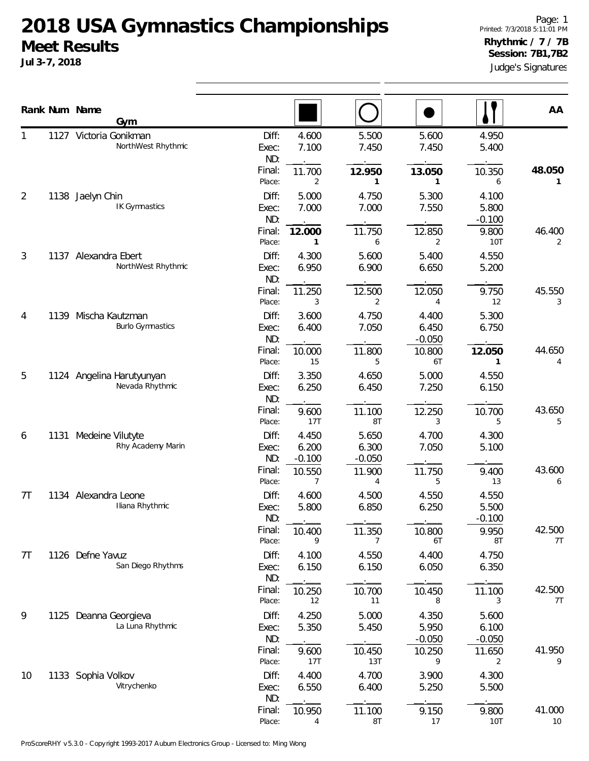Judge's Signatures Page: 1 Printed: 7/3/2018 5:11:01 PM **Rhythmic / 7 / 7B Session: 7B1,7B2**

|                |      | Rank Num Name<br>Gym                         |                       |                            |                            |                            |                            | AA           |
|----------------|------|----------------------------------------------|-----------------------|----------------------------|----------------------------|----------------------------|----------------------------|--------------|
|                |      | 1127 Victoria Gonikman<br>NorthWest Rhythmic | Diff:<br>Exec:<br>ND: | 4.600<br>7.100             | 5.500<br>7.450             | 5.600<br>7.450             | 4.950<br>5.400             |              |
|                |      |                                              | Final:<br>Place:      | 11.700<br>2                | 12.950<br>1                | 13.050<br>1                | 10.350<br>6                | 48.050<br>1  |
| $\overline{2}$ |      | 1138 Jaelyn Chin<br>IK Gymnastics            | Diff:<br>Exec:<br>ND: | 5.000<br>7.000             | 4.750<br>7.000             | 5.300<br>7.550             | 4.100<br>5.800<br>$-0.100$ |              |
|                |      |                                              | Final:<br>Place:      | 12.000<br>1                | 11.750<br>6                | 12.850<br>2                | 9.800<br>10T               | 46.400<br>2  |
| 3              | 1137 | Alexandra Ebert<br>NorthWest Rhythmic        | Diff:<br>Exec:<br>ND: | 4.300<br>6.950             | 5.600<br>6.900             | 5.400<br>6.650             | 4.550<br>5.200             |              |
|                |      |                                              | Final:<br>Place:      | 11.250<br>3                | 12.500<br>2                | 12.050<br>4                | 9.750<br>12                | 45.550<br>3  |
| 4              | 1139 | Mischa Kautzman<br><b>Burlo Gymnastics</b>   | Diff:<br>Exec:<br>ND: | 3.600<br>6.400             | 4.750<br>7.050             | 4.400<br>6.450<br>$-0.050$ | 5.300<br>6.750             |              |
|                |      |                                              | Final:<br>Place:      | 10.000<br>15               | 11.800<br>5                | 10.800<br>6T               | 12.050<br>$\mathbf{1}$     | 44.650<br>4  |
| 5              |      | 1124 Angelina Harutyunyan<br>Nevada Rhythmic | Diff:<br>Exec:<br>ND: | 3.350<br>6.250             | 4.650<br>6.450             | 5.000<br>7.250             | 4.550<br>6.150             |              |
|                |      |                                              | Final:<br>Place:      | 9.600<br>17T               | 11.100<br>8T               | 12.250<br>3                | 10.700<br>5                | 43.650<br>5  |
| 6              | 1131 | Medeine Vilutyte<br>Rhy Academy Marin        | Diff:<br>Exec:<br>ND: | 4.450<br>6.200<br>$-0.100$ | 5.650<br>6.300<br>$-0.050$ | 4.700<br>7.050             | 4.300<br>5.100             |              |
|                |      |                                              | Final:<br>Place:      | 10.550<br>7                | 11.900<br>4                | 11.750<br>5                | 9.400<br>13                | 43.600<br>6  |
| 7T             |      | 1134 Alexandra Leone<br>Iliana Rhythmic      | Diff:<br>Exec:<br>ND: | 4.600<br>5.800             | 4.500<br>6.850             | 4.550<br>6.250             | 4.550<br>5.500<br>$-0.100$ |              |
|                |      |                                              | Final:<br>Place:      | 10.400<br>9                | 11.350<br>7                | 10.800<br>6T               | 9.950<br>8T                | 42.500<br>71 |
| 7T             |      | 1126 Defne Yavuz<br>San Diego Rhythms        | Diff:<br>Exec:<br>ND: | 4.100<br>6.150             | 4.550<br>6.150             | 4.400<br>6.050             | 4.750<br>6.350             |              |
|                |      |                                              | Final:<br>Place:      | 10.250<br>12               | 10.700<br>11               | 10.450<br>8                | 11.100<br>3                | 42.500<br>7T |
| 9              | 1125 | Deanna Georgieva<br>La Luna Rhythmic         | Diff:<br>Exec:<br>ND: | 4.250<br>5.350             | 5.000<br>5.450             | 4.350<br>5.950<br>$-0.050$ | 5.600<br>6.100<br>$-0.050$ |              |
|                |      |                                              | Final:<br>Place:      | 9.600<br>17T               | 10.450<br>13T              | 10.250<br>9                | 11.650<br>2                | 41.950<br>9  |
| 10             |      | 1133 Sophia Volkov<br>Vitrychenko            | Diff:<br>Exec:<br>ND: | 4.400<br>6.550             | 4.700<br>6.400             | 3.900<br>5.250             | 4.300<br>5.500             |              |
|                |      |                                              | Final:                | 10.950                     | 11.100                     | 9.150                      | 9.800                      | 41.000       |

Place: 4 8T 17 10T 10

ProScoreRHY v5.3.0 - Copyright 1993-2017 Auburn Electronics Group - Licensed to: Ming Wong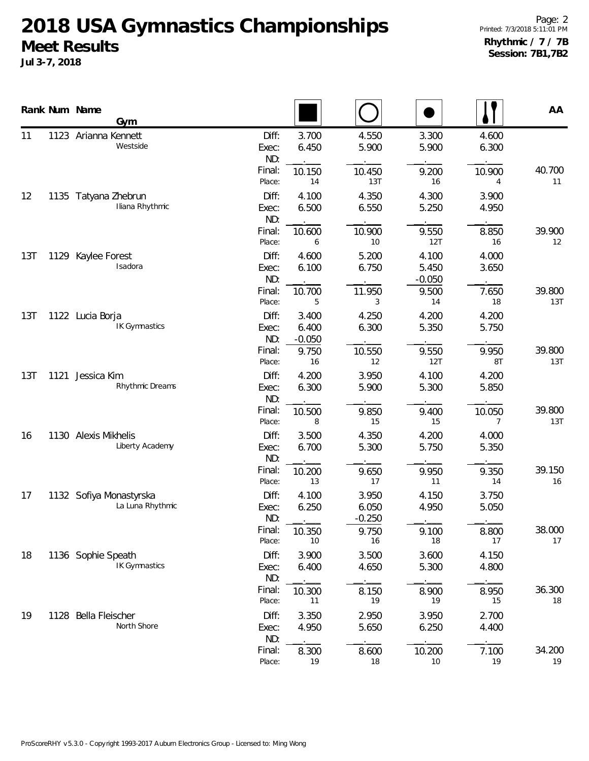|     |      | Rank Num Name        | <b>Gym</b>                                  |                       |                            |                            |                            |                | AA            |
|-----|------|----------------------|---------------------------------------------|-----------------------|----------------------------|----------------------------|----------------------------|----------------|---------------|
| 11  |      | 1123 Arianna Kennett | Westside                                    | Diff:<br>Exec:<br>ND: | 3.700<br>6.450             | 4.550<br>5.900             | 3.300<br>5.900             | 4.600<br>6.300 |               |
|     |      |                      |                                             | Final:<br>Place:      | 10.150<br>14               | 10.450<br>13T              | 9.200<br>16                | 10.900<br>4    | 40.700<br>11  |
| 12  |      |                      | 1135 Tatyana Zhebrun<br>Iliana Rhythmic     | Diff:<br>Exec:<br>ND: | 4.100<br>6.500             | 4.350<br>6.550             | 4.300<br>5.250             | 3.900<br>4.950 |               |
|     |      |                      |                                             | Final:<br>Place:      | 10.600<br>6                | 10.900<br>10               | 9.550<br>12T               | 8.850<br>16    | 39.900<br>12  |
| 13T | 1129 | Kaylee Forest        | Isadora                                     | Diff:<br>Exec:<br>ND: | 4.600<br>6.100             | 5.200<br>6.750             | 4.100<br>5.450<br>$-0.050$ | 4.000<br>3.650 |               |
|     |      |                      |                                             | Final:<br>Place:      | 10.700<br>5                | 11.950<br>3                | 9.500<br>14                | 7.650<br>18    | 39.800<br>13T |
| 13T |      | 1122 Lucia Borja     | <b>IK Gymnastics</b>                        | Diff:<br>Exec:<br>ND: | 3.400<br>6.400<br>$-0.050$ | 4.250<br>6.300             | 4.200<br>5.350             | 4.200<br>5.750 |               |
|     |      |                      |                                             | Final:<br>Place:      | 9.750<br>16                | 10.550<br>12               | 9.550<br>12T               | 9.950<br>8T    | 39.800<br>13T |
| 13T | 1121 | Jessica Kim          | Rhythmic Dreams                             | Diff:<br>Exec:<br>ND: | 4.200<br>6.300             | 3.950<br>5.900             | 4.100<br>5.300             | 4.200<br>5.850 |               |
|     |      |                      |                                             | Final:<br>Place:      | 10.500<br>8                | 9.850<br>15                | 9.400<br>15                | 10.050<br>7    | 39.800<br>13T |
| 16  |      | 1130 Alexis Mikhelis | Liberty Academy                             | Diff:<br>Exec:<br>ND: | 3.500<br>6.700             | 4.350<br>5.300             | 4.200<br>5.750             | 4.000<br>5.350 |               |
|     |      |                      |                                             | Final:<br>Place:      | 10.200<br>13               | 9.650<br>17                | 9.950<br>11                | 9.350<br>14    | 39.150<br>16  |
| 17  |      |                      | 1132 Sofiya Monastyrska<br>La Luna Rhythmic | Diff:<br>Exec:<br>ND: | 4.100<br>6.250             | 3.950<br>6.050<br>$-0.250$ | 4.150<br>4.950             | 3.750<br>5.050 |               |
|     |      |                      |                                             | Final:<br>Place:      | 10.350<br>10               | 9.750<br>16                | 9.100<br>18                | 8.800<br>17    | 38.000<br>17  |
| 18  |      | 1136 Sophie Speath   | <b>IK Gymnastics</b>                        | Diff:<br>Exec:<br>ND: | 3.900<br>6.400             | 3.500<br>4.650             | 3.600<br>5.300             | 4.150<br>4.800 |               |
|     |      |                      |                                             | Final:<br>Place:      | 10.300<br>11               | 8.150<br>19                | 8.900<br>19                | 8.950<br>15    | 36.300<br>18  |
| 19  | 1128 | Bella Fleischer      | North Shore                                 | Diff:<br>Exec:<br>ND: | 3.350<br>4.950             | 2.950<br>5.650             | 3.950<br>6.250             | 2.700<br>4.400 |               |
|     |      |                      |                                             | Final:<br>Place:      | 8.300<br>19                | 8.600<br>18                | 10.200<br>10               | 7.100<br>19    | 34.200<br>19  |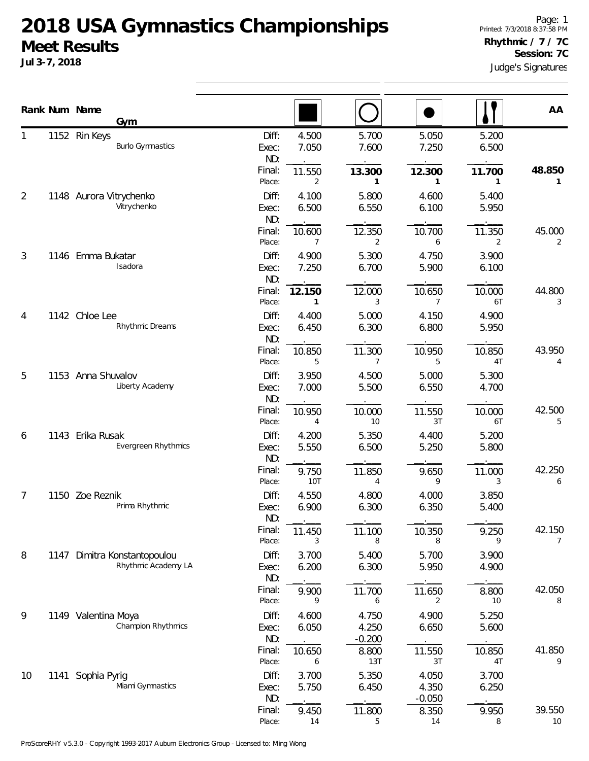**Jul 3-7, 2018**

|    |      | Rank Num Name<br>Gym                           |                       |                     |                            |                            |                          | AA          |
|----|------|------------------------------------------------|-----------------------|---------------------|----------------------------|----------------------------|--------------------------|-------------|
|    |      | 1152 Rin Keys<br><b>Burlo Gymnastics</b>       | Diff:<br>Exec:<br>ND: | 4.500<br>7.050      | 5.700<br>7.600             | 5.050<br>7.250             | 5.200<br>6.500           |             |
|    |      |                                                | Final:<br>Place:      | 11.550<br>2         | 13.300<br>1                | 12.300<br>1                | 11.700<br>1              | 48.850<br>1 |
| 2  |      | 1148 Aurora Vitrychenko<br>Vitrychenko         | Diff:<br>Exec:<br>ND: | 4.100<br>6.500      | 5.800<br>6.550             | 4.600<br>6.100             | 5.400<br>5.950           |             |
|    |      |                                                | Final:<br>Place:      | 10.600<br>7         | 12.350<br>2                | 10.700<br>6                | 11.350<br>$\overline{2}$ | 45.000<br>2 |
| 3  | 1146 | Emma Bukatar<br>Isadora                        | Diff:<br>Exec:<br>ND: | 4.900<br>7.250      | 5.300<br>6.700             | 4.750<br>5.900             | 3.900<br>6.100           |             |
|    |      |                                                | Final:<br>Place:      | 12.150<br>1         | 12.000<br>3                | 10.650<br>7                | 10.000<br>6T             | 44.800<br>3 |
| 4  |      | 1142 Chloe Lee<br>Rhythmic Dreams              | Diff:<br>Exec:<br>ND: | 4.400<br>6.450      | 5.000<br>6.300             | 4.150<br>6.800             | 4.900<br>5.950           |             |
|    |      |                                                | Final:<br>Place:      | 10.850<br>5         | 11.300<br>$\overline{7}$   | 10.950<br>5                | 10.850<br>4T             | 43.950<br>4 |
| 5  |      | 1153 Anna Shuvalov<br>Liberty Academy          | Diff:<br>Exec:<br>ND: | 3.950<br>7.000      | 4.500<br>5.500             | 5.000<br>6.550             | 5.300<br>4.700           |             |
|    |      |                                                | Final:<br>Place:      | 10.950<br>4         | 10.000<br>10               | 11.550<br>3T               | 10.000<br>6T             | 42.500<br>5 |
| 6  |      | 1143 Erika Rusak<br>Evergreen Rhythmics        | Diff:<br>Exec:<br>ND: | 4.200<br>5.550      | 5.350<br>6.500             | 4.400<br>5.250             | 5.200<br>5.800           |             |
|    |      |                                                | Final:<br>Place:      | 9.750<br><b>10T</b> | 11.850<br>4                | 9.650<br>9                 | 11.000<br>3              | 42.250<br>6 |
| 7  |      | 1150 Zoe Reznik<br>Prima Rhythmic              | Diff:<br>Exec:<br>ND: | 4.550<br>6.900      | 4.800<br>6.300             | 4.000<br>6.350             | 3.850<br>5.400           |             |
|    |      |                                                | Final:<br>Place:      | 11.450<br>3         | 11.100<br>8                | 10.350<br>8                | 9.250<br>9               | 42.150<br>7 |
| 8  | 1147 | Dimitra Konstantopoulou<br>Rhythmic Academy LA | Diff:<br>Exec:<br>ND: | 3.700<br>6.200      | 5.400<br>6.300             | 5.700<br>5.950             | 3.900<br>4.900           |             |
|    |      |                                                | Final:<br>Place:      | 9.900<br>9          | 11.700<br>6                | 11.650<br>2                | 8.800<br>10              | 42.050<br>8 |
| 9  |      | 1149 Valentina Moya<br>Champion Rhythmics      | Diff:<br>Exec:<br>ND: | 4.600<br>6.050      | 4.750<br>4.250<br>$-0.200$ | 4.900<br>6.650             | 5.250<br>5.600           |             |
|    |      |                                                | Final:<br>Place:      | 10.650<br>6         | 8.800<br>13T               | 11.550<br>3T               | 10.850<br>4T             | 41.850<br>9 |
| 10 | 1141 | Sophia Pyrig<br>Miami Gymnastics               | Diff:<br>Exec:<br>ND: | 3.700<br>5.750      | 5.350<br>6.450             | 4.050<br>4.350<br>$-0.050$ | 3.700<br>6.250           |             |
|    |      |                                                | Final:                | 9.450               | 11.800                     | 8.350                      | 9.950                    | 39.550      |

Place: 14 5 14 8 10

ProScoreRHY v5.3.0 - Copyright 1993-2017 Auburn Electronics Group - Licensed to: Ming Wong